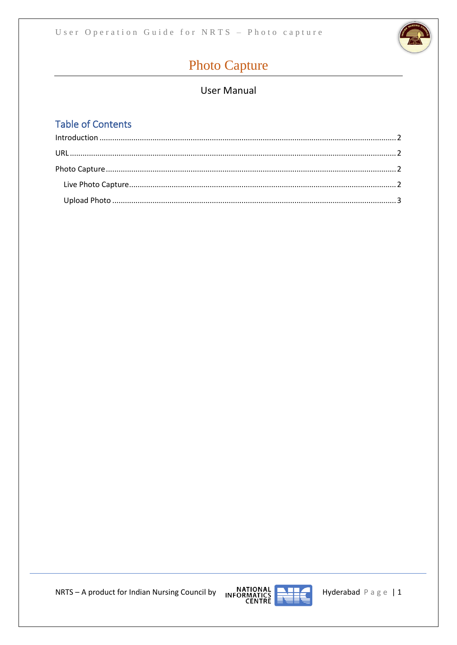

# **Photo Capture**

## **User Manual**

# **Table of Contents**



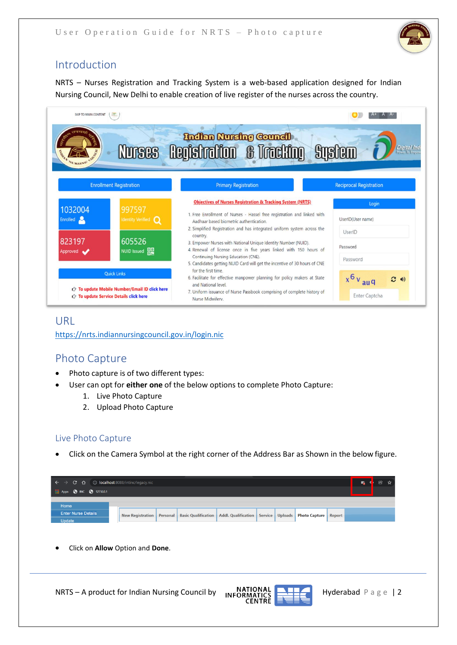

## <span id="page-1-0"></span>Introduction

NRTS – Nurses Registration and Tracking System is a web-based application designed for Indian Nursing Council, New Delhi to enable creation of live register of the nurses across the country.



## <span id="page-1-1"></span>URL

<https://nrts.indiannursingcouncil.gov.in/login.nic>

## <span id="page-1-2"></span>Photo Capture

- Photo capture is of two different types:
- User can opt for **either one** of the below options to complete Photo Capture:
	- 1. Live Photo Capture
	- 2. Upload Photo Capture

### <span id="page-1-3"></span>Live Photo Capture

• Click on the Camera Symbol at the right corner of the Address Bar as Shown in the below figure.

| $\epsilon \leftrightarrow c \; \Delta$ (i) localhost:8088/intinc/legacy.nic |  |                                                                                                                      |  |  |  |  |
|-----------------------------------------------------------------------------|--|----------------------------------------------------------------------------------------------------------------------|--|--|--|--|
| <b>EXAPPS @ INC @ 127.0.0.1</b>                                             |  |                                                                                                                      |  |  |  |  |
| Home                                                                        |  |                                                                                                                      |  |  |  |  |
| <b>Enter Nurse Details</b>                                                  |  | New Registration   Personal   Basic Qualification   Addl. Qualification   Service   Uploads   Photo Capture   Report |  |  |  |  |
| Update                                                                      |  |                                                                                                                      |  |  |  |  |

• Click on **Allow** Option and **Done**.



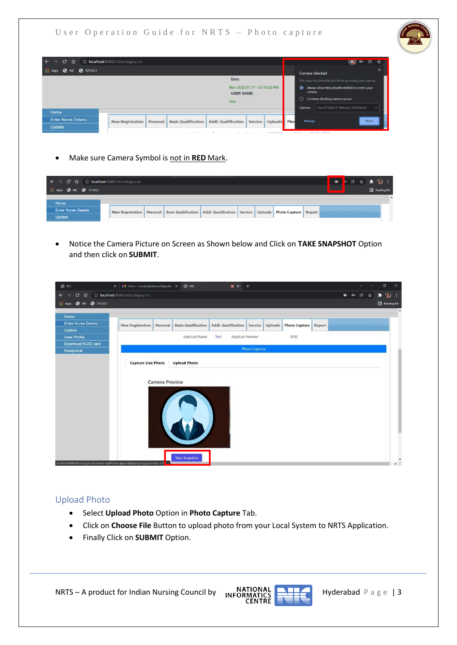

• Make sure Camera Symbol is not in **RED** Mark.

| $\epsilon \rightarrow c \cdot \hat{\Omega}$ (i) localhost:8088/intinc/legacy.nic<br><b>EXAPPS 3 INC 3 127.0.0.1</b> |  |                                                                                                        |  |  |  | <mark>- @ ☆ ★ ⑨ :</mark><br><b>Example 1</b><br>Reading list |  |
|---------------------------------------------------------------------------------------------------------------------|--|--------------------------------------------------------------------------------------------------------|--|--|--|--------------------------------------------------------------|--|
|                                                                                                                     |  |                                                                                                        |  |  |  |                                                              |  |
| Home                                                                                                                |  |                                                                                                        |  |  |  |                                                              |  |
| <b>Enter Nurse Details</b>                                                                                          |  | New Registration Personal Basic Qualification Addl. Qualification Service Uploads Photo Capture Report |  |  |  |                                                              |  |
| Update                                                                                                              |  |                                                                                                        |  |  |  |                                                              |  |

• Notice the Camera Picture on Screen as Shown below and Click on **TAKE SNAPSHOT** Option and then click on **SUBMIT**.

| $\odot$ INC                                                                     | X   M Inbox - v.v.manojsaikumar@gmail.c X<br><b>O</b> INC<br>$\bullet x$<br>$+$                                                            | $\checkmark$                    | $\Box$<br>$\times$ |
|---------------------------------------------------------------------------------|--------------------------------------------------------------------------------------------------------------------------------------------|---------------------------------|--------------------|
| $\mathbf{C}$<br>$\leftarrow$<br>$\Omega$                                        | 10 localhost:8088/intinc/legacy.nic                                                                                                        | $\blacksquare$<br>$\sigma$<br>色 | $\hat{g}$          |
| Apps @ INC @ 127.0.0.1                                                          |                                                                                                                                            |                                 | Reading list       |
| Home                                                                            |                                                                                                                                            |                                 |                    |
| <b>Enter Nurse Details</b>                                                      | Addl. Qualification Service Uploads<br><b>New Registration</b><br><b>Basic Qualification</b><br><b>Photo Capture</b><br>Personal<br>Report |                                 |                    |
| Update                                                                          |                                                                                                                                            |                                 |                    |
| <b>User Profile</b>                                                             | Applicant Name<br>Test<br>Applicant Number<br>DOB                                                                                          |                                 |                    |
| Download NUID card                                                              |                                                                                                                                            |                                 |                    |
| Reciprocal                                                                      | <b>Photo Capture</b>                                                                                                                       |                                 |                    |
|                                                                                 | <b>Capture Live Photo</b><br><b>Upload Photo</b>                                                                                           |                                 |                    |
|                                                                                 |                                                                                                                                            |                                 |                    |
|                                                                                 |                                                                                                                                            |                                 |                    |
|                                                                                 | <b>Camera Preview</b>                                                                                                                      |                                 |                    |
|                                                                                 |                                                                                                                                            |                                 |                    |
|                                                                                 |                                                                                                                                            |                                 |                    |
|                                                                                 |                                                                                                                                            |                                 |                    |
|                                                                                 | X                                                                                                                                          |                                 |                    |
|                                                                                 |                                                                                                                                            |                                 |                    |
|                                                                                 |                                                                                                                                            |                                 |                    |
|                                                                                 |                                                                                                                                            |                                 |                    |
|                                                                                 |                                                                                                                                            |                                 |                    |
|                                                                                 |                                                                                                                                            |                                 |                    |
|                                                                                 | <b>Take Snapshot</b>                                                                                                                       |                                 |                    |
| localhost:8088/intinc/legacy.nic?mode=getPhotoCaptureTab&property(usercode)=111 |                                                                                                                                            |                                 | $\frac{1}{2}$      |

### <span id="page-2-0"></span>Upload Photo

- Select **Upload Photo** Option in **Photo Capture** Tab.
- Click on **Choose File** Button to upload photo from your Local System to NRTS Application.
- Finally Click on **SUBMIT** Option.